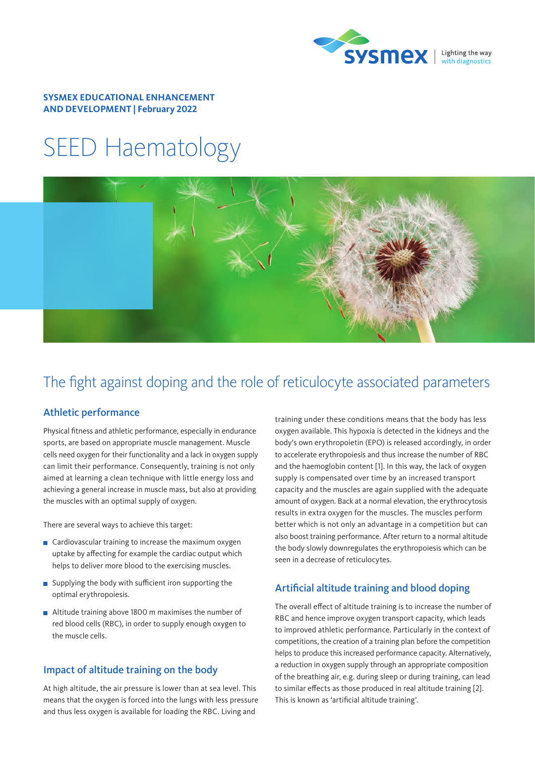

#### **SYSMEX EDUCATIONAL ENHANCEMENT AND DEVELOPMENT | February 2022**

# SEED Haematology



# The fight against doping and the role of reticulocyte associated parameters

# Athletic performance

Physical fitness and athletic performance, especially in endurance sports, are based on appropriate muscle management. Muscle cells need oxygen for their functionality and a lack in oxygen supply can limit their performance. Consequently, training is not only aimed at learning a clean technique with little energy loss and achieving a general increase in muscle mass, but also at providing the muscles with an optimal supply of oxygen.

There are several ways to achieve this target:

- $\blacksquare$  Cardiovascular training to increase the maximum oxygen uptake by affecting for example the cardiac output which helps to deliver more blood to the exercising muscles.
- Supplying the body with sufficient iron supporting the optimal erythropoiesis.
- Altitude training above 1800 m maximises the number of red blood cells (RBC), in order to supply enough oxygen to the muscle cells.

### Impact of altitude training on the body

At high altitude, the air pressure is lower than at sea level. This means that the oxygen is forced into the lungs with less pressure and thus less oxygen is available for loading the RBC. Living and

training under these conditions means that the body has less oxygen available. This hypoxia is detected in the kidneys and the body's own erythropoietin (EPO) is released accordingly, in order to accelerate erythropoiesis and thus increase the number of RBC and the haemoglobin content [1]. In this way, the lack of oxygen supply is compensated over time by an increased transport capacity and the muscles are again supplied with the adequate amount of oxygen. Back at a normal elevation, the erythrocytosis results in extra oxygen for the muscles. The muscles perform better which is not only an advantage in a competition but can also boost training performance. After return to a normal altitude the body slowly downregulates the erythropoiesis which can be seen in a decrease of reticulocytes.

# Artificial altitude training and blood doping

The overall effect of altitude training is to increase the number of RBC and hence improve oxygen transport capacity, which leads to improved athletic performance. Particularly in the context of competitions, the creation of a training plan before the competition helps to produce this increased performance capacity. Alternatively, a reduction in oxygen supply through an appropriate composition of the breathing air, e.g. during sleep or during training, can lead to similar effects as those produced in real altitude training [2]. This is known as 'artificial altitude training'.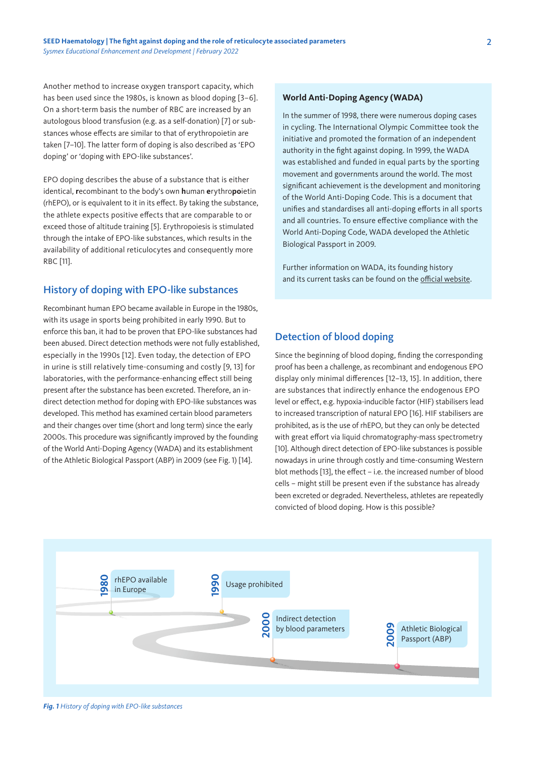Another method to increase oxygen transport capacity, which has been used since the 1980s, is known as blood doping [3–6]. On a short-term basis the number of RBC are increased by an autologous blood transfusion (e.g. as a self-donation) [7] or substances whose effects are similar to that of erythropoietin are taken [7–10]. The latter form of doping is also described as 'EPO doping' or 'doping with EPO-like substances'.

EPO doping describes the abuse of a substance that is either identical, **r**ecombinant to the body's own **h**uman **e**rythro**po**ietin (rhEPO), or is equivalent to it in its effect. By taking the substance, the athlete expects positive effects that are comparable to or exceed those of altitude training [5]. Erythropoiesis is stimulated through the intake of EPO-like substances, which results in the availability of additional reticulocytes and consequently more RBC [11].

#### History of doping with EPO-like substances

Recombinant human EPO became available in Europe in the 1980s, with its usage in sports being prohibited in early 1990. But to enforce this ban, it had to be proven that EPO-like substances had been abused. Direct detection methods were not fully established, especially in the 1990s [12]. Even today, the detection of EPO in urine is still relatively time-consuming and costly [9, 13] for laboratories, with the performance-enhancing effect still being present after the substance has been excreted. Therefore, an indirect detection method for doping with EPO-like substances was developed. This method has examined certain blood parameters and their changes over time (short and long term) since the early 2000s. This procedure was significantly improved by the founding of the World Anti-Doping Agency (WADA) and its establishment of the Athletic Biological Passport (ABP) in 2009 (see Fig. 1) [14].

#### **World Anti-Doping Agency (WADA)**

In the summer of 1998, there were numerous doping cases in cycling. The International Olympic Committee took the initiative and promoted the formation of an independent authority in the fight against doping. In 1999, the WADA was established and funded in equal parts by the sporting movement and governments around the world. The most significant achievement is the development and monitoring of the World Anti-Doping Code. This is a document that unifies and standardises all anti-doping efforts in all sports and all countries. To ensure effective compliance with the World Anti-Doping Code, WADA developed the Athletic Biological Passport in 2009.

Further information on WADA, its founding history and its current tasks can be found on the [official website](https://www.wada-ama.org/en/who-we-are).

### Detection of blood doping

Since the beginning of blood doping, finding the corresponding proof has been a challenge, as recombinant and endogenous EPO display only minimal differences [12–13, 15]. In addition, there are substances that indirectly enhance the endogenous EPO level or effect, e.g. hypoxia-inducible factor (HIF) stabilisers lead to increased transcription of natural EPO [16]. HIF stabilisers are prohibited, as is the use of rhEPO, but they can only be detected with great effort via liquid chromatography-mass spectrometry [10]. Although direct detection of EPO-like substances is possible nowadays in urine through costly and time-consuming Western blot methods [13], the effect – i.e. the increased number of blood cells – might still be present even if the substance has already been excreted or degraded. Nevertheless, athletes are repeatedly convicted of blood doping. How is this possible?



*Fig. 1 History of doping with EPO-like substances*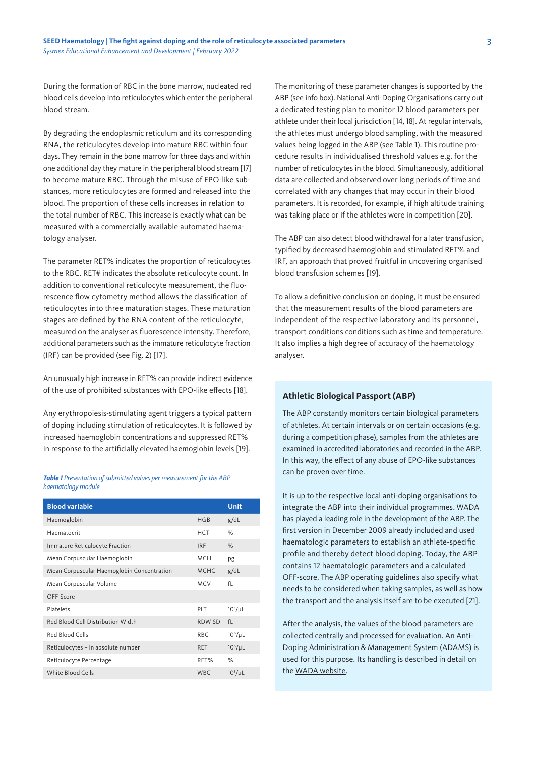During the formation of RBC in the bone marrow, nucleated red blood cells develop into reticulocytes which enter the peripheral blood stream.

By degrading the endoplasmic reticulum and its corresponding RNA, the reticulocytes develop into mature RBC within four days. They remain in the bone marrow for three days and within one additional day they mature in the peripheral blood stream [17] to become mature RBC. Through the misuse of EPO-like substances, more reticulocytes are formed and released into the blood. The proportion of these cells increases in relation to the total number of RBC. This increase is exactly what can be measured with a commercially available automated haematology analyser.

The parameter RET% indicates the proportion of reticulocytes to the RBC. RET# indicates the absolute reticulocyte count. In addition to conventional reticulocyte measurement, the fluorescence flow cytometry method allows the classification of reticulocytes into three maturation stages. These maturation stages are defined by the RNA content of the reticulocyte, measured on the analyser as fluorescence intensity. Therefore, additional parameters such as the immature reticulocyte fraction (IRF) can be provided (see Fig. 2) [17].

An unusually high increase in RET% can provide indirect evidence of the use of prohibited substances with EPO-like effects [18].

Any erythropoiesis-stimulating agent triggers a typical pattern of doping including stimulation of reticulocytes. It is followed by increased haemoglobin concentrations and suppressed RET% in response to the artificially elevated haemoglobin levels [19].

#### *Table 1 Presentation of submitted values per measurement for the ABP haematology module*

| <b>Blood variable</b>                      |             | Unit                     |
|--------------------------------------------|-------------|--------------------------|
| Haemoglobin                                | HGB         | g/dL                     |
| Haematocrit                                | <b>HCT</b>  | %                        |
| Immature Reticulocyte Fraction             | <b>IRF</b>  | $\%$                     |
| Mean Corpuscular Haemoglobin               | <b>MCH</b>  | pg                       |
| Mean Corpuscular Haemoglobin Concentration | <b>MCHC</b> | g/dL                     |
| Mean Corpuscular Volume                    | <b>MCV</b>  | f <sub>l</sub>           |
| OFF-Score                                  |             | $\overline{\phantom{0}}$ |
| Platelets                                  | PLT         | $10^3/\mu$ L             |
| Red Blood Cell Distribution Width          | RDW-SD      | fL                       |
| Red Blood Cells                            | RBC.        | $106/\mu L$              |
| Reticulocytes - in absolute number         | <b>RET</b>  | $10^6/\mu L$             |
| Reticulocyte Percentage                    | RET%        | %                        |
| White Blood Cells                          | WBC.        | $10^3/\mu$ L             |

The monitoring of these parameter changes is supported by the ABP (see info box). National Anti-Doping Organisations carry out a dedicated testing plan to monitor 12 blood parameters per athlete under their local jurisdiction [14, 18]. At regular intervals, the athletes must undergo blood sampling, with the measured values being logged in the ABP (see Table 1). This routine procedure results in individualised threshold values e.g. for the number of reticulocytes in the blood. Simultaneously, additional data are collected and observed over long periods of time and correlated with any changes that may occur in their blood parameters. It is recorded, for example, if high altitude training was taking place or if the athletes were in competition [20].

The ABP can also detect blood withdrawal for a later transfusion, typified by decreased haemoglobin and stimulated RET% and IRF, an approach that proved fruitful in uncovering organised blood transfusion schemes [19].

To allow a definitive conclusion on doping, it must be ensured that the measurement results of the blood parameters are independent of the respective laboratory and its personnel, transport conditions conditions such as time and temperature. It also implies a high degree of accuracy of the haematology analyser.

#### **Athletic Biological Passport (ABP)**

The ABP constantly monitors certain biological parameters of athletes. At certain intervals or on certain occasions (e.g. during a competition phase), samples from the athletes are examined in accredited laboratories and recorded in the ABP. In this way, the effect of any abuse of EPO-like substances can be proven over time.

It is up to the respective local anti-doping organisations to integrate the ABP into their individual programmes. WADA has played a leading role in the development of the ABP. The first version in December 2009 already included and used haematologic parameters to establish an athlete-specific profile and thereby detect blood doping. Today, the ABP contains 12 haematologic parameters and a calculated OFF-score. The ABP operating guidelines also specify what needs to be considered when taking samples, as well as how the transport and the analysis itself are to be executed [21].

After the analysis, the values of the blood parameters are collected centrally and processed for evaluation. An Anti-Doping Administration & Management System (ADAMS) is used for this purpose. Its handling is described in detail on the [WADA website.](https://www.wada-ama.org/en/what-we-do/adams)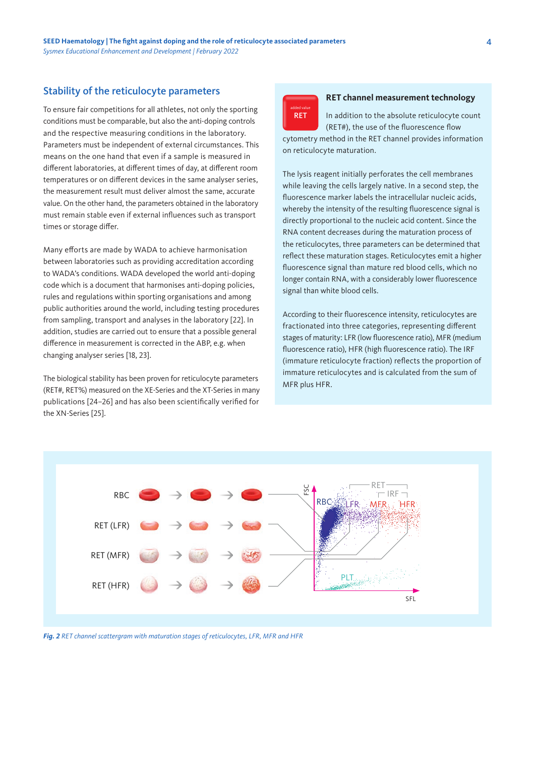### Stability of the reticulocyte parameters

To ensure fair competitions for all athletes, not only the sporting conditions must be comparable, but also the anti-doping controls and the respective measuring conditions in the laboratory. Parameters must be independent of external circumstances. This means on the one hand that even if a sample is measured in different laboratories, at different times of day, at different room temperatures or on different devices in the same analyser series, the measurement result must deliver almost the same, accurate value. On the other hand, the parameters obtained in the laboratory must remain stable even if external influences such as transport times or storage differ.

Many efforts are made by WADA to achieve harmonisation between laboratories such as providing accreditation according to WADA's conditions. WADA developed the world anti-doping code which is a document that harmonises anti-doping policies, rules and regulations within sporting organisations and among public authorities around the world, including testing procedures from sampling, transport and analyses in the laboratory [22]. In addition, studies are carried out to ensure that a possible general difference in measurement is corrected in the ABP, e.g. when changing analyser series [18, 23].

The biological stability has been proven for reticulocyte parameters (RET#, RET%) measured on the XE-Series and the XT-Series in many publications [24–26] and has also been scientifically verified for the XN-Series [25].



#### **RET channel measurement technology**

In addition to the absolute reticulocyte count (RET#), the use of the fluorescence flow cytometry method in the RET channel provides information on reticulocyte maturation.

The lysis reagent initially perforates the cell membranes while leaving the cells largely native. In a second step, the fluorescence marker labels the intracellular nucleic acids, whereby the intensity of the resulting fluorescence signal is directly proportional to the nucleic acid content. Since the RNA content decreases during the maturation process of the reticulocytes, three parameters can be determined that reflect these maturation stages. Reticulocytes emit a higher fluorescence signal than mature red blood cells, which no longer contain RNA, with a considerably lower fluorescence signal than white blood cells.

According to their fluorescence intensity, reticulocytes are fractionated into three categories, representing different stages of maturity: LFR (low fluorescence ratio), MFR (medium fluorescence ratio), HFR (high fluorescence ratio). The IRF (immature reticulocyte fraction) reflects the proportion of immature reticulocytes and is calculated from the sum of MFR plus HFR.



*Fig. 2 RET channel scattergram with maturation stages of reticulocytes, LFR, MFR and HFR*